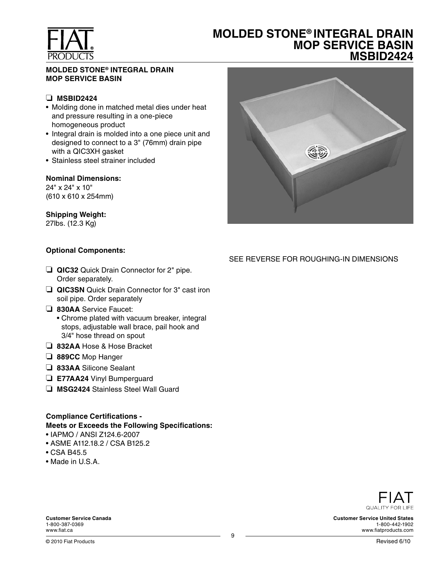

## **MOLDED STONE® INTEGRAL DRAIN MOP SERVICE BASIN MSBID2424**

#### **MOLDED STONE® INTEGRAL DRAIN MOP SERVICE BASIN**

#### ❏ **MSBID2424**

- Molding done in matched metal dies under heat and pressure resulting in a one-piece homogeneous product
- Integral drain is molded into a one piece unit and designed to connect to a 3" (76mm) drain pipe with a QIC3XH gasket
- Stainless steel strainer included

#### **Nominal Dimensions:**

24" x 24" x 10" (610 x 610 x 254mm)

#### **Shipping Weight:**

27lbs. (12.3 Kg)

#### **Optional Components:**

- ❏ **QIC32** Quick Drain Connector for 2" pipe. Order separately.
- ❏ **QIC3SN** Quick Drain Connector for 3" cast iron soil pipe. Order separately
- ❏ **830AA** Service Faucet:
	- Chrome plated with vacuum breaker, integral stops, adjustable wall brace, pail hook and 3/4" hose thread on spout
- ❏ **832AA** Hose & Hose Bracket
- ❏ **889CC** Mop Hanger
- ❏ **833AA** Silicone Sealant
- ❏ **E77AA24** Vinyl Bumperguard
- ❏ **MSG2424** Stainless Steel Wall Guard

## **Compliance Certifications - Meets or Exceeds the Following Specifications:**

- IAPMO / ANSI Z124.6-2007
- ASME A112.18.2 / CSA B125.2
- CSA B45.5
- Made in U.S.A.



### SEE REVERSE FOR ROUGHING-IN DIMENSIONS



**Customer Service United States** 1-800-442-1902 www.fiatproducts.com

**Customer Service Canada** 1-800-387-0369 www.fiat.ca